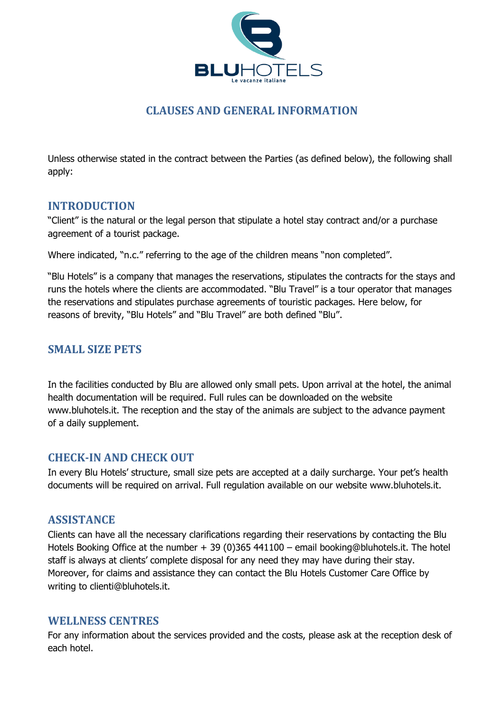

## **CLAUSES AND GENERAL INFORMATION**

Unless otherwise stated in the contract between the Parties (as defined below), the following shall apply:

## **INTRODUCTION**

"Client" is the natural or the legal person that stipulate a hotel stay contract and/or a purchase agreement of a tourist package.

Where indicated, "n.c." referring to the age of the children means "non completed".

"Blu Hotels" is a company that manages the reservations, stipulates the contracts for the stays and runs the hotels where the clients are accommodated. "Blu Travel" is a tour operator that manages the reservations and stipulates purchase agreements of touristic packages. Here below, for reasons of brevity, "Blu Hotels" and "Blu Travel" are both defined "Blu".

## **SMALL SIZE PETS**

In the facilities conducted by Blu are allowed only small pets. Upon arrival at the hotel, the animal health documentation will be required. Full rules can be downloaded on the website www.bluhotels.it. The reception and the stay of the animals are subject to the advance payment of a daily supplement.

## **CHECK-IN AND CHECK OUT**

In every Blu Hotels' structure, small size pets are accepted at a daily surcharge. Your pet's health documents will be required on arrival. Full regulation available on our website www.bluhotels.it.

### **ASSISTANCE**

Clients can have all the necessary clarifications regarding their reservations by contacting the Blu Hotels Booking Office at the number + 39 (0)365 441100 – email booking@bluhotels.it. The hotel staff is always at clients' complete disposal for any need they may have during their stay. Moreover, for claims and assistance they can contact the Blu Hotels Customer Care Office by writing to clienti@bluhotels.it.

### **WELLNESS CENTRES**

For any information about the services provided and the costs, please ask at the reception desk of each hotel.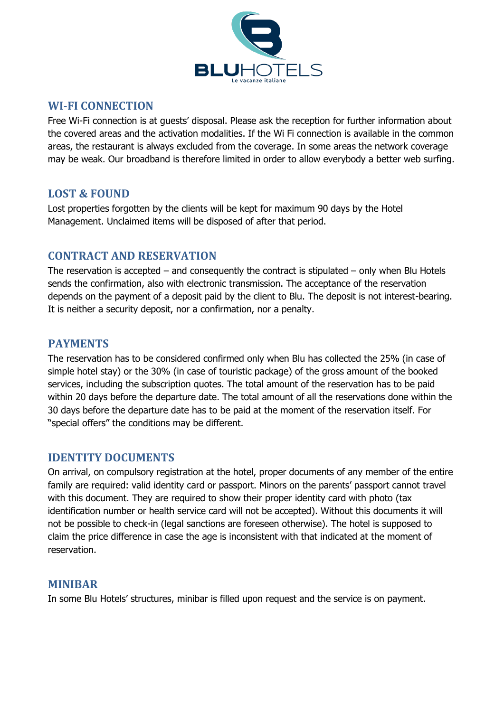

#### **WI-FI CONNECTION**

Free Wi-Fi connection is at guests' disposal. Please ask the reception for further information about the covered areas and the activation modalities. If the Wi Fi connection is available in the common areas, the restaurant is always excluded from the coverage. In some areas the network coverage may be weak. Our broadband is therefore limited in order to allow everybody a better web surfing.

### **LOST & FOUND**

Lost properties forgotten by the clients will be kept for maximum 90 days by the Hotel Management. Unclaimed items will be disposed of after that period.

### **CONTRACT AND RESERVATION**

The reservation is accepted  $-$  and consequently the contract is stipulated  $-$  only when Blu Hotels sends the confirmation, also with electronic transmission. The acceptance of the reservation depends on the payment of a deposit paid by the client to Blu. The deposit is not interest-bearing. It is neither a security deposit, nor a confirmation, nor a penalty.

### **PAYMENTS**

The reservation has to be considered confirmed only when Blu has collected the 25% (in case of simple hotel stay) or the 30% (in case of touristic package) of the gross amount of the booked services, including the subscription quotes. The total amount of the reservation has to be paid within 20 days before the departure date. The total amount of all the reservations done within the 30 days before the departure date has to be paid at the moment of the reservation itself. For "special offers" the conditions may be different.

### **IDENTITY DOCUMENTS**

On arrival, on compulsory registration at the hotel, proper documents of any member of the entire family are required: valid identity card or passport. Minors on the parents' passport cannot travel with this document. They are required to show their proper identity card with photo (tax identification number or health service card will not be accepted). Without this documents it will not be possible to check-in (legal sanctions are foreseen otherwise). The hotel is supposed to claim the price difference in case the age is inconsistent with that indicated at the moment of reservation.

### **MINIBAR**

In some Blu Hotels' structures, minibar is filled upon request and the service is on payment.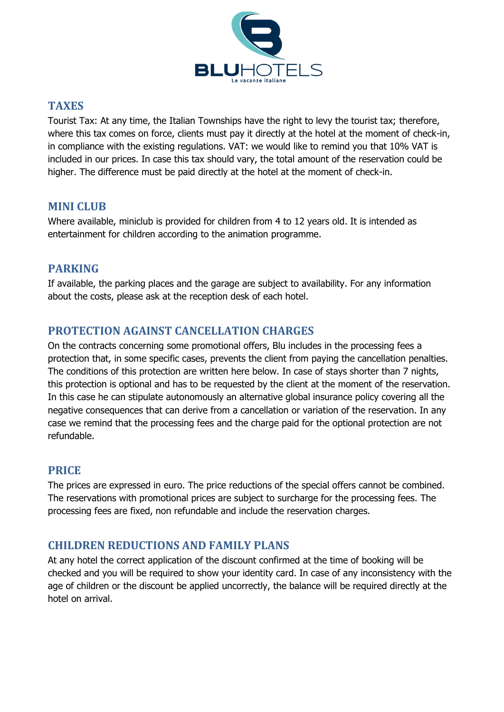

## **TAXES**

Tourist Tax: At any time, the Italian Townships have the right to levy the tourist tax; therefore, where this tax comes on force, clients must pay it directly at the hotel at the moment of check-in, in compliance with the existing regulations. VAT: we would like to remind you that 10% VAT is included in our prices. In case this tax should vary, the total amount of the reservation could be higher. The difference must be paid directly at the hotel at the moment of check-in.

## **MINI CLUB**

Where available, miniclub is provided for children from 4 to 12 years old. It is intended as entertainment for children according to the animation programme.

## **PARKING**

If available, the parking places and the garage are subject to availability. For any information about the costs, please ask at the reception desk of each hotel.

## **PROTECTION AGAINST CANCELLATION CHARGES**

On the contracts concerning some promotional offers, Blu includes in the processing fees a protection that, in some specific cases, prevents the client from paying the cancellation penalties. The conditions of this protection are written here below. In case of stays shorter than 7 nights, this protection is optional and has to be requested by the client at the moment of the reservation. In this case he can stipulate autonomously an alternative global insurance policy covering all the negative consequences that can derive from a cancellation or variation of the reservation. In any case we remind that the processing fees and the charge paid for the optional protection are not refundable.

## **PRICE**

The prices are expressed in euro. The price reductions of the special offers cannot be combined. The reservations with promotional prices are subject to surcharge for the processing fees. The processing fees are fixed, non refundable and include the reservation charges.

## **CHILDREN REDUCTIONS AND FAMILY PLANS**

At any hotel the correct application of the discount confirmed at the time of booking will be checked and you will be required to show your identity card. In case of any inconsistency with the age of children or the discount be applied uncorrectly, the balance will be required directly at the hotel on arrival.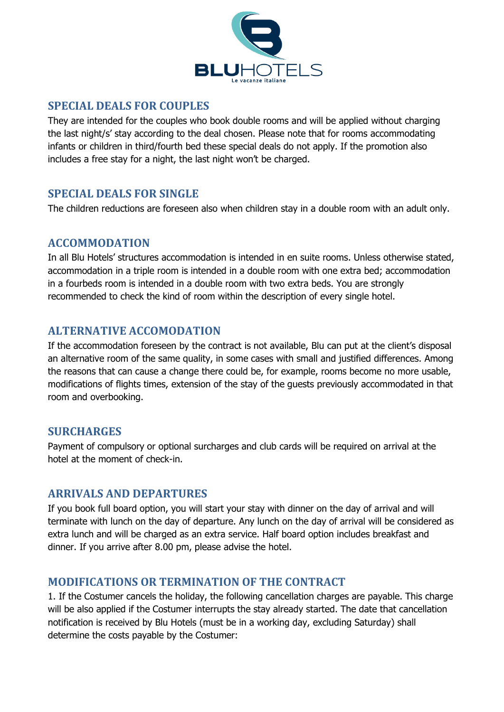

### **SPECIAL DEALS FOR COUPLES**

They are intended for the couples who book double rooms and will be applied without charging the last night/s' stay according to the deal chosen. Please note that for rooms accommodating infants or children in third/fourth bed these special deals do not apply. If the promotion also includes a free stay for a night, the last night won't be charged.

## **SPECIAL DEALS FOR SINGLE**

The children reductions are foreseen also when children stay in a double room with an adult only.

## **ACCOMMODATION**

In all Blu Hotels' structures accommodation is intended in en suite rooms. Unless otherwise stated, accommodation in a triple room is intended in a double room with one extra bed; accommodation in a fourbeds room is intended in a double room with two extra beds. You are strongly recommended to check the kind of room within the description of every single hotel.

## **ALTERNATIVE ACCOMODATION**

If the accommodation foreseen by the contract is not available, Blu can put at the client's disposal an alternative room of the same quality, in some cases with small and justified differences. Among the reasons that can cause a change there could be, for example, rooms become no more usable, modifications of flights times, extension of the stay of the guests previously accommodated in that room and overbooking.

## **SURCHARGES**

Payment of compulsory or optional surcharges and club cards will be required on arrival at the hotel at the moment of check-in.

## **ARRIVALS AND DEPARTURES**

If you book full board option, you will start your stay with dinner on the day of arrival and will terminate with lunch on the day of departure. Any lunch on the day of arrival will be considered as extra lunch and will be charged as an extra service. Half board option includes breakfast and dinner. If you arrive after 8.00 pm, please advise the hotel.

## **MODIFICATIONS OR TERMINATION OF THE CONTRACT**

1. If the Costumer cancels the holiday, the following cancellation charges are payable. This charge will be also applied if the Costumer interrupts the stay already started. The date that cancellation notification is received by Blu Hotels (must be in a working day, excluding Saturday) shall determine the costs payable by the Costumer: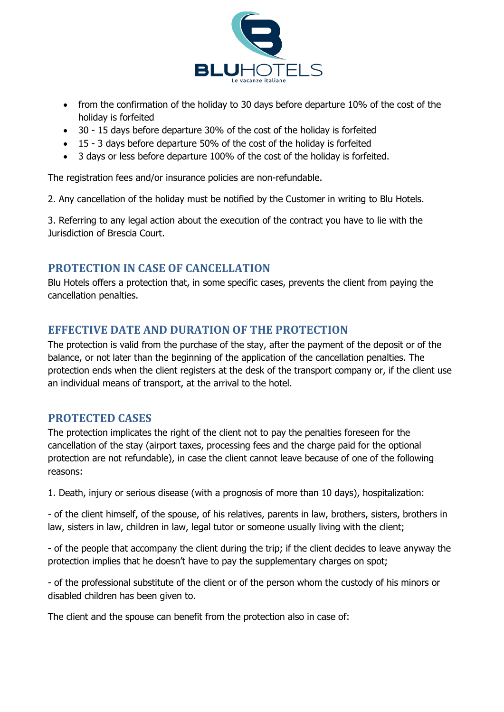

- from the confirmation of the holiday to 30 days before departure 10% of the cost of the holiday is forfeited
- 30 15 days before departure 30% of the cost of the holiday is forfeited
- 15 3 days before departure 50% of the cost of the holiday is forfeited
- 3 days or less before departure 100% of the cost of the holiday is forfeited.

The registration fees and/or insurance policies are non-refundable.

2. Any cancellation of the holiday must be notified by the Customer in writing to Blu Hotels.

3. Referring to any legal action about the execution of the contract you have to lie with the Jurisdiction of Brescia Court.

### **PROTECTION IN CASE OF CANCELLATION**

Blu Hotels offers a protection that, in some specific cases, prevents the client from paying the cancellation penalties.

## **EFFECTIVE DATE AND DURATION OF THE PROTECTION**

The protection is valid from the purchase of the stay, after the payment of the deposit or of the balance, or not later than the beginning of the application of the cancellation penalties. The protection ends when the client registers at the desk of the transport company or, if the client use an individual means of transport, at the arrival to the hotel.

### **PROTECTED CASES**

The protection implicates the right of the client not to pay the penalties foreseen for the cancellation of the stay (airport taxes, processing fees and the charge paid for the optional protection are not refundable), in case the client cannot leave because of one of the following reasons:

1. Death, injury or serious disease (with a prognosis of more than 10 days), hospitalization:

- of the client himself, of the spouse, of his relatives, parents in law, brothers, sisters, brothers in law, sisters in law, children in law, legal tutor or someone usually living with the client;

- of the people that accompany the client during the trip; if the client decides to leave anyway the protection implies that he doesn't have to pay the supplementary charges on spot;

- of the professional substitute of the client or of the person whom the custody of his minors or disabled children has been given to.

The client and the spouse can benefit from the protection also in case of: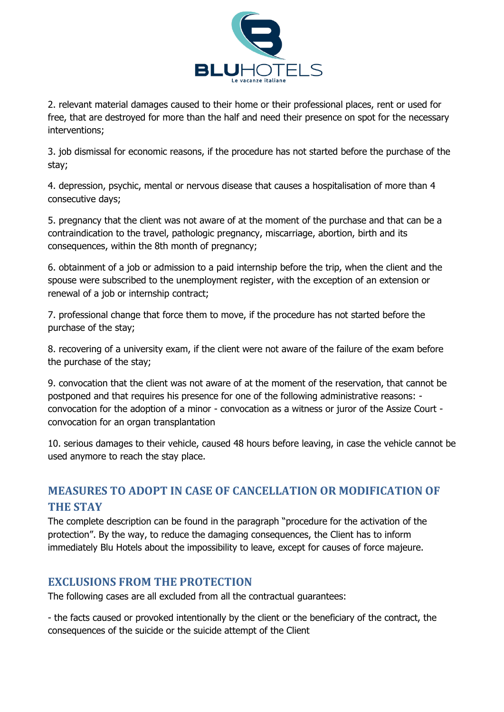

2. relevant material damages caused to their home or their professional places, rent or used for free, that are destroyed for more than the half and need their presence on spot for the necessary interventions;

3. job dismissal for economic reasons, if the procedure has not started before the purchase of the stay;

4. depression, psychic, mental or nervous disease that causes a hospitalisation of more than 4 consecutive days;

5. pregnancy that the client was not aware of at the moment of the purchase and that can be a contraindication to the travel, pathologic pregnancy, miscarriage, abortion, birth and its consequences, within the 8th month of pregnancy;

6. obtainment of a job or admission to a paid internship before the trip, when the client and the spouse were subscribed to the unemployment register, with the exception of an extension or renewal of a job or internship contract;

7. professional change that force them to move, if the procedure has not started before the purchase of the stay;

8. recovering of a university exam, if the client were not aware of the failure of the exam before the purchase of the stay;

9. convocation that the client was not aware of at the moment of the reservation, that cannot be postponed and that requires his presence for one of the following administrative reasons: convocation for the adoption of a minor - convocation as a witness or juror of the Assize Court convocation for an organ transplantation

10. serious damages to their vehicle, caused 48 hours before leaving, in case the vehicle cannot be used anymore to reach the stay place.

# **MEASURES TO ADOPT IN CASE OF CANCELLATION OR MODIFICATION OF THE STAY**

The complete description can be found in the paragraph "procedure for the activation of the protection". By the way, to reduce the damaging consequences, the Client has to inform immediately Blu Hotels about the impossibility to leave, except for causes of force majeure.

## **EXCLUSIONS FROM THE PROTECTION**

The following cases are all excluded from all the contractual guarantees:

- the facts caused or provoked intentionally by the client or the beneficiary of the contract, the consequences of the suicide or the suicide attempt of the Client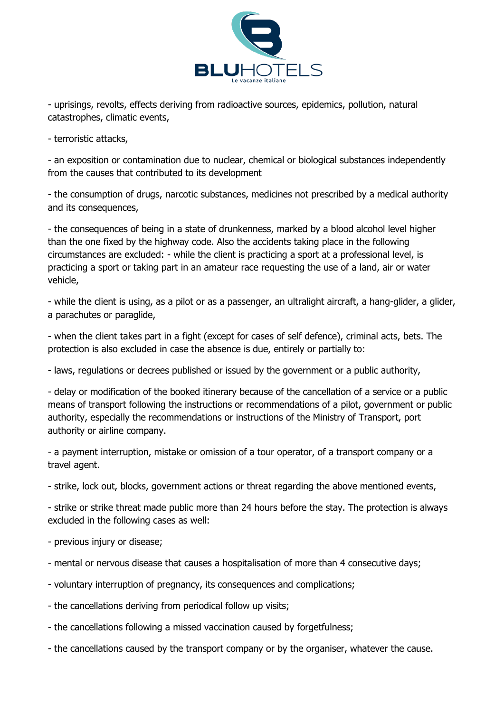

- uprisings, revolts, effects deriving from radioactive sources, epidemics, pollution, natural catastrophes, climatic events,

- terroristic attacks,

- an exposition or contamination due to nuclear, chemical or biological substances independently from the causes that contributed to its development

- the consumption of drugs, narcotic substances, medicines not prescribed by a medical authority and its consequences,

- the consequences of being in a state of drunkenness, marked by a blood alcohol level higher than the one fixed by the highway code. Also the accidents taking place in the following circumstances are excluded: - while the client is practicing a sport at a professional level, is practicing a sport or taking part in an amateur race requesting the use of a land, air or water vehicle,

- while the client is using, as a pilot or as a passenger, an ultralight aircraft, a hang-glider, a glider, a parachutes or paraglide,

- when the client takes part in a fight (except for cases of self defence), criminal acts, bets. The protection is also excluded in case the absence is due, entirely or partially to:

- laws, regulations or decrees published or issued by the government or a public authority,

- delay or modification of the booked itinerary because of the cancellation of a service or a public means of transport following the instructions or recommendations of a pilot, government or public authority, especially the recommendations or instructions of the Ministry of Transport, port authority or airline company.

- a payment interruption, mistake or omission of a tour operator, of a transport company or a travel agent.

- strike, lock out, blocks, government actions or threat regarding the above mentioned events,

- strike or strike threat made public more than 24 hours before the stay. The protection is always excluded in the following cases as well:

- previous injury or disease;

- mental or nervous disease that causes a hospitalisation of more than 4 consecutive days;
- voluntary interruption of pregnancy, its consequences and complications;
- the cancellations deriving from periodical follow up visits;
- the cancellations following a missed vaccination caused by forgetfulness;
- the cancellations caused by the transport company or by the organiser, whatever the cause.